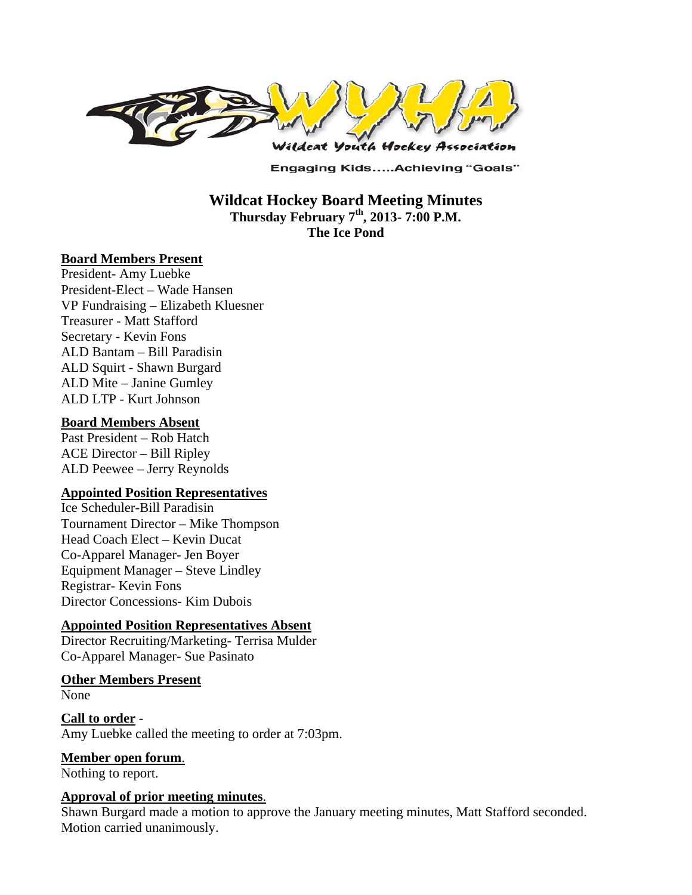

**Engaging Kids.....Achieving "Goals"** 

**Wildcat Hockey Board Meeting Minutes Thursday February 7th, 2013- 7:00 P.M. The Ice Pond** 

#### **Board Members Present**

President- Amy Luebke President-Elect – Wade Hansen VP Fundraising – Elizabeth Kluesner Treasurer - Matt Stafford Secretary - Kevin Fons ALD Bantam – Bill Paradisin ALD Squirt - Shawn Burgard ALD Mite – Janine Gumley ALD LTP - Kurt Johnson

#### **Board Members Absent**

Past President – Rob Hatch ACE Director – Bill Ripley ALD Peewee – Jerry Reynolds

### **Appointed Position Representatives**

Ice Scheduler-Bill Paradisin Tournament Director – Mike Thompson Head Coach Elect – Kevin Ducat Co-Apparel Manager- Jen Boyer Equipment Manager – Steve Lindley Registrar- Kevin Fons Director Concessions- Kim Dubois

### **Appointed Position Representatives Absent**

Director Recruiting/Marketing- Terrisa Mulder Co-Apparel Manager- Sue Pasinato

#### **Other Members Present**

None

**Call to order** - Amy Luebke called the meeting to order at 7:03pm.

**Member open forum**.

Nothing to report.

### **Approval of prior meeting minutes**.

Shawn Burgard made a motion to approve the January meeting minutes, Matt Stafford seconded. Motion carried unanimously.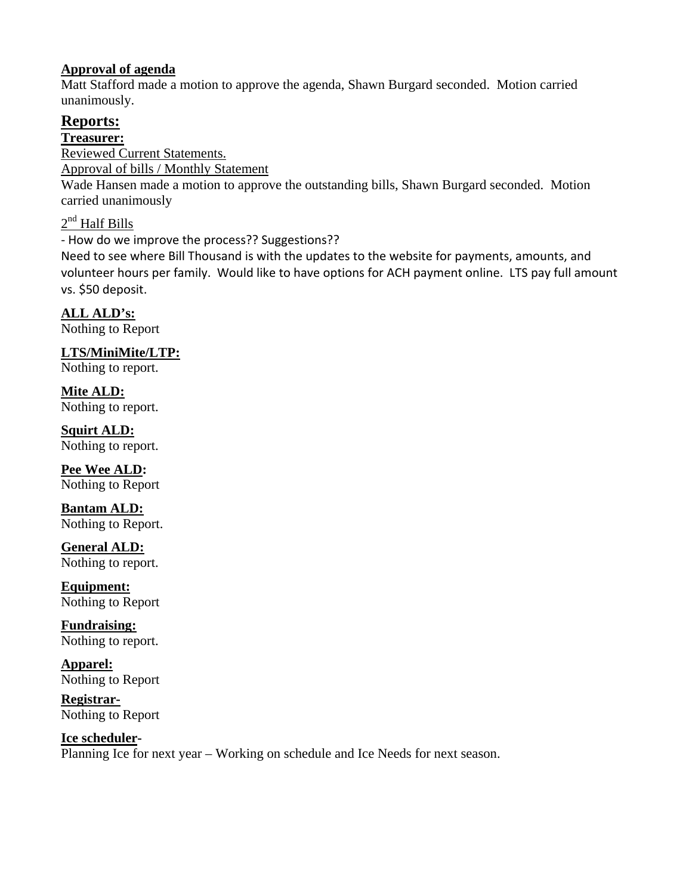## **Approval of agenda**

Matt Stafford made a motion to approve the agenda, Shawn Burgard seconded. Motion carried unanimously.

# **Reports:**

**Treasurer:** 

Reviewed Current Statements.

Approval of bills / Monthly Statement

Wade Hansen made a motion to approve the outstanding bills, Shawn Burgard seconded. Motion carried unanimously

 $2<sup>nd</sup>$  Half Bills

‐ How do we improve the process?? Suggestions??

Need to see where Bill Thousand is with the updates to the website for payments, amounts, and volunteer hours per family. Would like to have options for ACH payment online. LTS pay full amount vs. \$50 deposit.

**ALL ALD's:**  Nothing to Report

**LTS/MiniMite/LTP:** 

Nothing to report.

**Mite ALD:**  Nothing to report.

**Squirt ALD:**  Nothing to report.

**Pee Wee ALD:**  Nothing to Report

**Bantam ALD:**  Nothing to Report.

**General ALD:**  Nothing to report.

**Equipment:**  Nothing to Report

**Fundraising:**  Nothing to report.

**Apparel:**  Nothing to Report

**Registrar-**Nothing to Report

**Ice scheduler-**Planning Ice for next year – Working on schedule and Ice Needs for next season.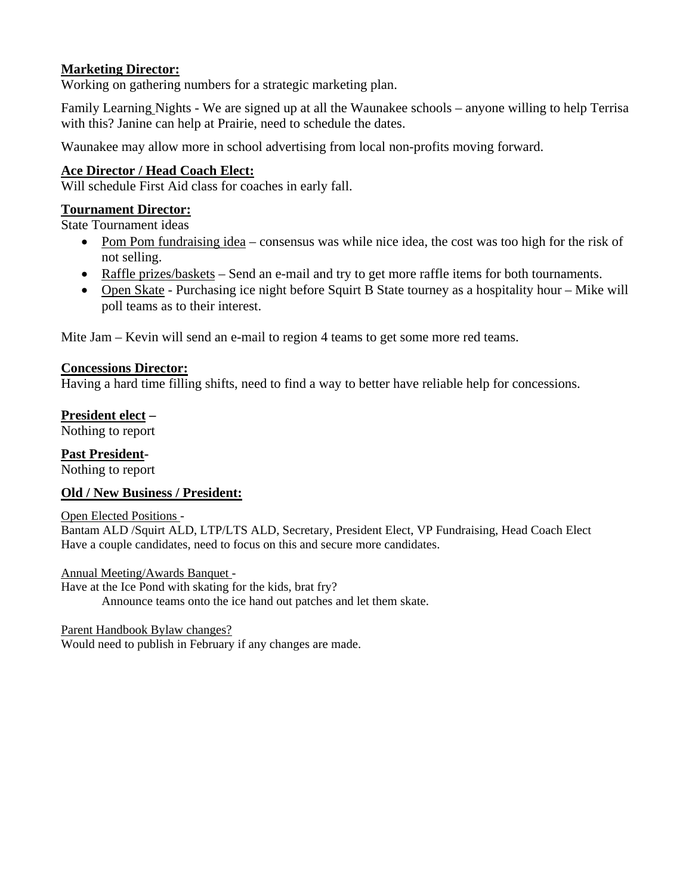## **Marketing Director:**

Working on gathering numbers for a strategic marketing plan.

Family Learning Nights - We are signed up at all the Waunakee schools – anyone willing to help Terrisa with this? Janine can help at Prairie, need to schedule the dates.

Waunakee may allow more in school advertising from local non-profits moving forward.

### **Ace Director / Head Coach Elect:**

Will schedule First Aid class for coaches in early fall.

### **Tournament Director:**

State Tournament ideas

- Pom Pom fundraising idea consensus was while nice idea, the cost was too high for the risk of not selling.
- Raffle prizes/baskets Send an e-mail and try to get more raffle items for both tournaments.
- Open Skate Purchasing ice night before Squirt B State tourney as a hospitality hour Mike will poll teams as to their interest.

Mite Jam – Kevin will send an e-mail to region 4 teams to get some more red teams.

#### **Concessions Director:**

Having a hard time filling shifts, need to find a way to better have reliable help for concessions.

#### **President elect –**

Nothing to report

### **Past President-**

Nothing to report

### **Old / New Business / President:**

#### Open Elected Positions -

Bantam ALD /Squirt ALD, LTP/LTS ALD, Secretary, President Elect, VP Fundraising, Head Coach Elect Have a couple candidates, need to focus on this and secure more candidates.

#### Annual Meeting/Awards Banquet -

Have at the Ice Pond with skating for the kids, brat fry? Announce teams onto the ice hand out patches and let them skate.

#### Parent Handbook Bylaw changes?

Would need to publish in February if any changes are made.